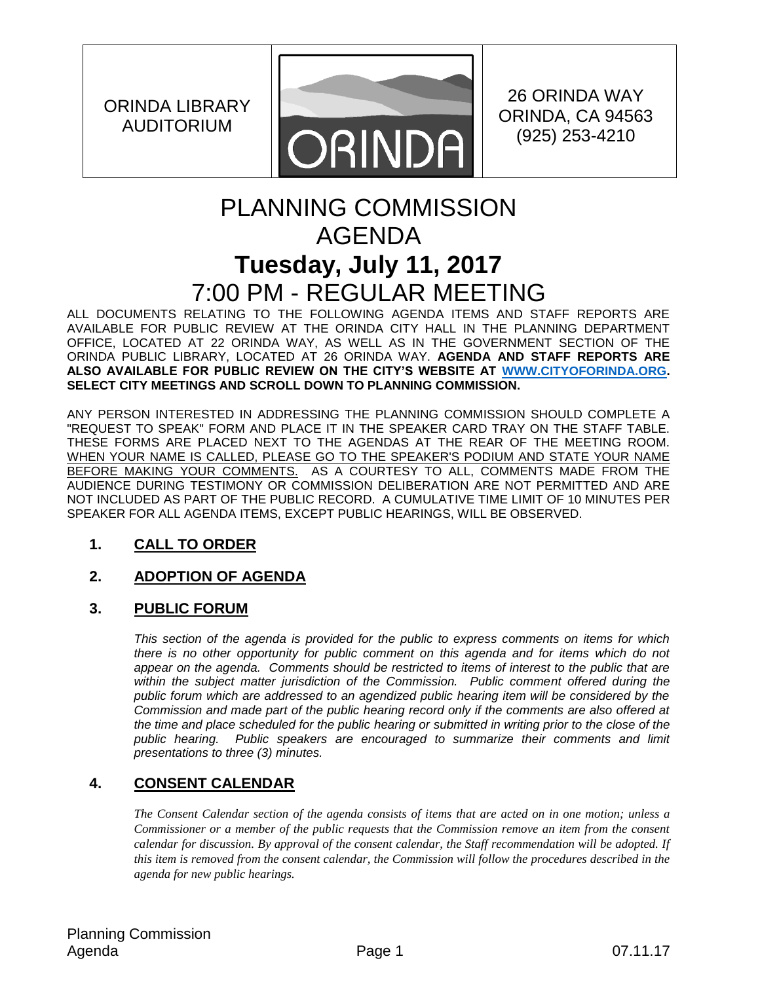ORINDA LIBRARY AUDITORIUM



26 ORINDA WAY ORINDA, CA 94563 (925) 253-4210

# PLANNING COMMISSION AGENDA **Tuesday, July 11, 2017** 7:00 PM - REGULAR MEETING

ALL DOCUMENTS RELATING TO THE FOLLOWING AGENDA ITEMS AND STAFF REPORTS ARE AVAILABLE FOR PUBLIC REVIEW AT THE ORINDA CITY HALL IN THE PLANNING DEPARTMENT OFFICE, LOCATED AT 22 ORINDA WAY, AS WELL AS IN THE GOVERNMENT SECTION OF THE ORINDA PUBLIC LIBRARY, LOCATED AT 26 ORINDA WAY. **AGENDA AND STAFF REPORTS ARE ALSO AVAILABLE FOR PUBLIC REVIEW ON THE CITY'S WEBSITE AT [WWW.CITYOFORINDA.ORG.](http://www.cityoforinda.org/) SELECT CITY MEETINGS AND SCROLL DOWN TO PLANNING COMMISSION.** 

ANY PERSON INTERESTED IN ADDRESSING THE PLANNING COMMISSION SHOULD COMPLETE A "REQUEST TO SPEAK" FORM AND PLACE IT IN THE SPEAKER CARD TRAY ON THE STAFF TABLE. THESE FORMS ARE PLACED NEXT TO THE AGENDAS AT THE REAR OF THE MEETING ROOM. WHEN YOUR NAME IS CALLED, PLEASE GO TO THE SPEAKER'S PODIUM AND STATE YOUR NAME BEFORE MAKING YOUR COMMENTS. AS A COURTESY TO ALL, COMMENTS MADE FROM THE AUDIENCE DURING TESTIMONY OR COMMISSION DELIBERATION ARE NOT PERMITTED AND ARE NOT INCLUDED AS PART OF THE PUBLIC RECORD. A CUMULATIVE TIME LIMIT OF 10 MINUTES PER SPEAKER FOR ALL AGENDA ITEMS, EXCEPT PUBLIC HEARINGS, WILL BE OBSERVED.

# **1. CALL TO ORDER**

# **2. ADOPTION OF AGENDA**

# **3. PUBLIC FORUM**

*This section of the agenda is provided for the public to express comments on items for which there is no other opportunity for public comment on this agenda and for items which do not appear on the agenda. Comments should be restricted to items of interest to the public that are*  within the subject matter jurisdiction of the Commission. Public comment offered during the *public forum which are addressed to an agendized public hearing item will be considered by the Commission and made part of the public hearing record only if the comments are also offered at the time and place scheduled for the public hearing or submitted in writing prior to the close of the public hearing. Public speakers are encouraged to summarize their comments and limit presentations to three (3) minutes.*

# **4. CONSENT CALENDAR**

*The Consent Calendar section of the agenda consists of items that are acted on in one motion; unless a Commissioner or a member of the public requests that the Commission remove an item from the consent calendar for discussion. By approval of the consent calendar, the Staff recommendation will be adopted. If this item is removed from the consent calendar, the Commission will follow the procedures described in the agenda for new public hearings.*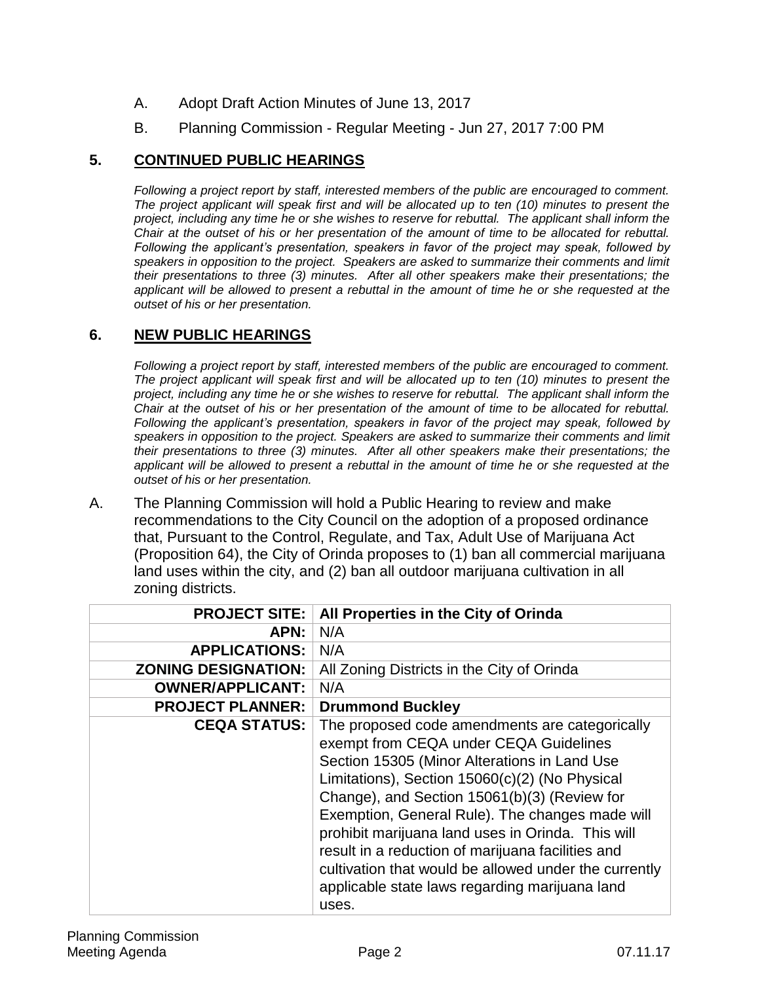- A. Adopt Draft Action Minutes of June 13, 2017
- B. Planning Commission Regular Meeting Jun 27, 2017 7:00 PM

# **5. CONTINUED PUBLIC HEARINGS**

*Following a project report by staff, interested members of the public are encouraged to comment. The project applicant will speak first and will be allocated up to ten (10) minutes to present the project, including any time he or she wishes to reserve for rebuttal. The applicant shall inform the Chair at the outset of his or her presentation of the amount of time to be allocated for rebuttal. Following the applicant's presentation, speakers in favor of the project may speak, followed by speakers in opposition to the project. Speakers are asked to summarize their comments and limit their presentations to three (3) minutes. After all other speakers make their presentations; the applicant will be allowed to present a rebuttal in the amount of time he or she requested at the outset of his or her presentation.*

#### **6. NEW PUBLIC HEARINGS**

*Following a project report by staff, interested members of the public are encouraged to comment. The project applicant will speak first and will be allocated up to ten (10) minutes to present the project, including any time he or she wishes to reserve for rebuttal. The applicant shall inform the Chair at the outset of his or her presentation of the amount of time to be allocated for rebuttal. Following the applicant's presentation, speakers in favor of the project may speak, followed by speakers in opposition to the project. Speakers are asked to summarize their comments and limit their presentations to three (3) minutes. After all other speakers make their presentations; the applicant will be allowed to present a rebuttal in the amount of time he or she requested at the outset of his or her presentation.*

A. The Planning Commission will hold a Public Hearing to review and make recommendations to the City Council on the adoption of a proposed ordinance that, Pursuant to the Control, Regulate, and Tax, Adult Use of Marijuana Act (Proposition 64), the City of Orinda proposes to (1) ban all commercial marijuana land uses within the city, and (2) ban all outdoor marijuana cultivation in all zoning districts.

| <b>PROJECT SITE:</b>       | All Properties in the City of Orinda                                                                                                                                                                                                                                                                                                                                                                                                                                                                                        |
|----------------------------|-----------------------------------------------------------------------------------------------------------------------------------------------------------------------------------------------------------------------------------------------------------------------------------------------------------------------------------------------------------------------------------------------------------------------------------------------------------------------------------------------------------------------------|
| <b>APN:</b>                | N/A                                                                                                                                                                                                                                                                                                                                                                                                                                                                                                                         |
| <b>APPLICATIONS:</b>       | N/A                                                                                                                                                                                                                                                                                                                                                                                                                                                                                                                         |
| <b>ZONING DESIGNATION:</b> | All Zoning Districts in the City of Orinda                                                                                                                                                                                                                                                                                                                                                                                                                                                                                  |
| <b>OWNER/APPLICANT:</b>    | N/A                                                                                                                                                                                                                                                                                                                                                                                                                                                                                                                         |
| <b>PROJECT PLANNER:</b>    | <b>Drummond Buckley</b>                                                                                                                                                                                                                                                                                                                                                                                                                                                                                                     |
| <b>CEQA STATUS:</b>        | The proposed code amendments are categorically<br>exempt from CEQA under CEQA Guidelines<br>Section 15305 (Minor Alterations in Land Use<br>Limitations), Section 15060(c)(2) (No Physical<br>Change), and Section 15061(b)(3) (Review for<br>Exemption, General Rule). The changes made will<br>prohibit marijuana land uses in Orinda. This will<br>result in a reduction of marijuana facilities and<br>cultivation that would be allowed under the currently<br>applicable state laws regarding marijuana land<br>uses. |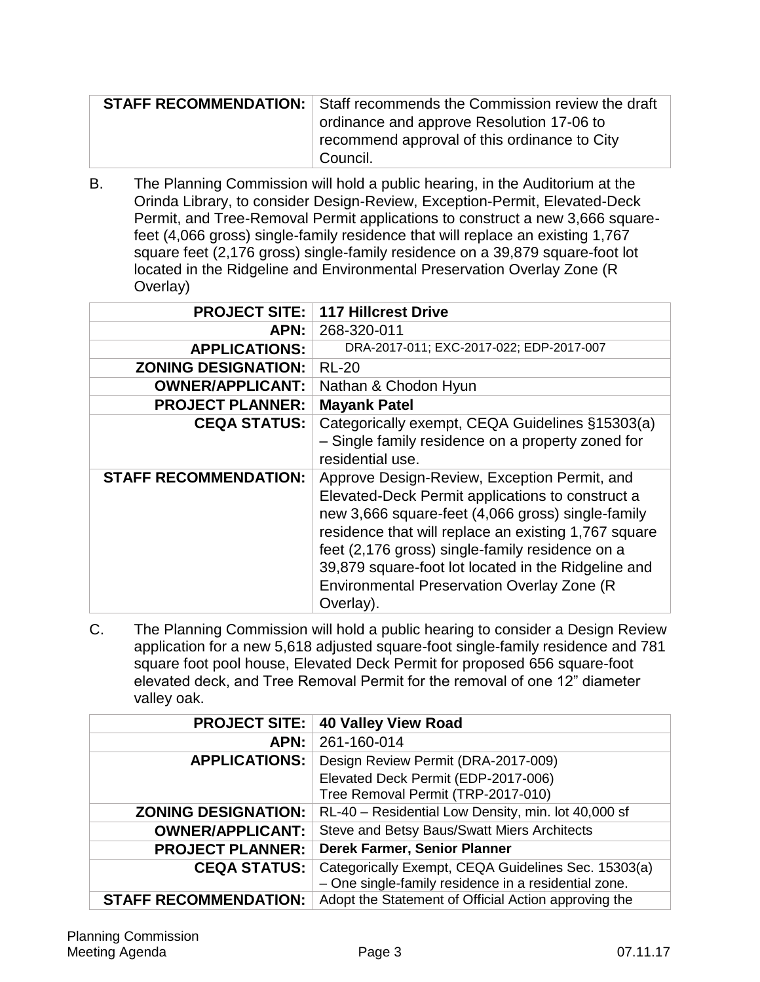| <b>STAFF RECOMMENDATION:</b> Staff recommends the Commission review the draft |
|-------------------------------------------------------------------------------|
| ordinance and approve Resolution 17-06 to                                     |
| recommend approval of this ordinance to City                                  |
| Council.                                                                      |

B. The Planning Commission will hold a public hearing, in the Auditorium at the Orinda Library, to consider Design-Review, Exception-Permit, Elevated-Deck Permit, and Tree-Removal Permit applications to construct a new 3,666 squarefeet (4,066 gross) single-family residence that will replace an existing 1,767 square feet (2,176 gross) single-family residence on a 39,879 square-foot lot located in the Ridgeline and Environmental Preservation Overlay Zone (R Overlay)

| <b>PROJECT SITE:</b>         | <b>117 Hillcrest Drive</b>                                                                                                                                                                                                                                                                                                                                                                |
|------------------------------|-------------------------------------------------------------------------------------------------------------------------------------------------------------------------------------------------------------------------------------------------------------------------------------------------------------------------------------------------------------------------------------------|
| APN:                         | 268-320-011                                                                                                                                                                                                                                                                                                                                                                               |
| <b>APPLICATIONS:</b>         | DRA-2017-011; EXC-2017-022; EDP-2017-007                                                                                                                                                                                                                                                                                                                                                  |
| <b>ZONING DESIGNATION:</b>   | <b>RL-20</b>                                                                                                                                                                                                                                                                                                                                                                              |
| <b>OWNER/APPLICANT:</b>      | Nathan & Chodon Hyun                                                                                                                                                                                                                                                                                                                                                                      |
| <b>PROJECT PLANNER:</b>      | <b>Mayank Patel</b>                                                                                                                                                                                                                                                                                                                                                                       |
| <b>CEQA STATUS:</b>          | Categorically exempt, CEQA Guidelines §15303(a)<br>- Single family residence on a property zoned for<br>residential use.                                                                                                                                                                                                                                                                  |
| <b>STAFF RECOMMENDATION:</b> | Approve Design-Review, Exception Permit, and<br>Elevated-Deck Permit applications to construct a<br>new 3,666 square-feet (4,066 gross) single-family<br>residence that will replace an existing 1,767 square<br>feet (2,176 gross) single-family residence on a<br>39,879 square-foot lot located in the Ridgeline and<br><b>Environmental Preservation Overlay Zone (R</b><br>Overlay). |

C. The Planning Commission will hold a public hearing to consider a Design Review application for a new 5,618 adjusted square-foot single-family residence and 781 square foot pool house, Elevated Deck Permit for proposed 656 square-foot elevated deck, and Tree Removal Permit for the removal of one 12" diameter valley oak.

| <b>PROJECT SITE:</b>         | <b>40 Valley View Road</b>                           |
|------------------------------|------------------------------------------------------|
| APN:                         | 261-160-014                                          |
| <b>APPLICATIONS:</b>         | Design Review Permit (DRA-2017-009)                  |
|                              | Elevated Deck Permit (EDP-2017-006)                  |
|                              | Tree Removal Permit (TRP-2017-010)                   |
| <b>ZONING DESIGNATION:</b>   | RL-40 - Residential Low Density, min. lot 40,000 sf  |
| <b>OWNER/APPLICANT:</b>      | Steve and Betsy Baus/Swatt Miers Architects          |
| <b>PROJECT PLANNER:</b>      | Derek Farmer, Senior Planner                         |
| <b>CEQA STATUS:</b>          | Categorically Exempt, CEQA Guidelines Sec. 15303(a)  |
|                              | - One single-family residence in a residential zone. |
| <b>STAFF RECOMMENDATION:</b> | Adopt the Statement of Official Action approving the |